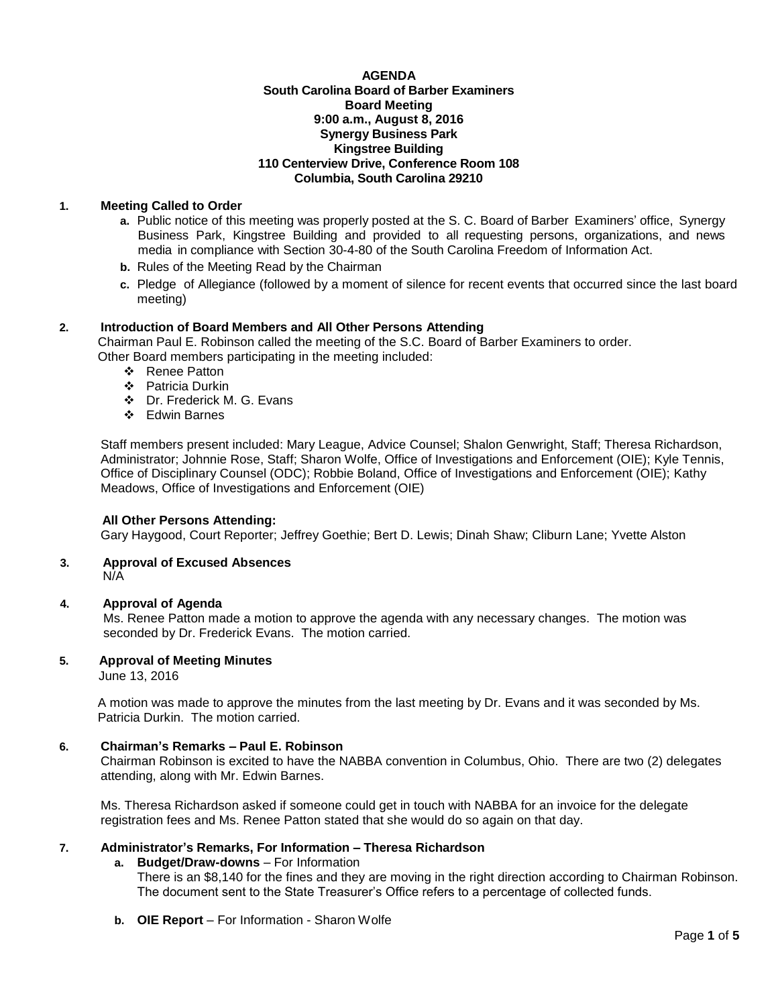### **AGENDA South Carolina Board of Barber Examiners Board Meeting 9:00 a.m., August 8, 2016 Synergy Business Park Kingstree Building 110 Centerview Drive, Conference Room 108 Columbia, South Carolina 29210**

## **1. Meeting Called to Order**

- **a.** Public notice of this meeting was properly posted at the S. C. Board of Barber Examiners' office, Synergy Business Park, Kingstree Building and provided to all requesting persons, organizations, and news media in compliance with Section 30-4-80 of the South Carolina Freedom of Information Act.
- **b.** Rules of the Meeting Read by the Chairman
- **c.** Pledge of Allegiance (followed by a moment of silence for recent events that occurred since the last board meeting)

## **2. Introduction of Board Members and All Other Persons Attending**

Chairman Paul E. Robinson called the meeting of the S.C. Board of Barber Examiners to order. Other Board members participating in the meeting included:

- ❖ Renee Patton
- ❖ Patricia Durkin
- Dr. Frederick M. G. Evans
- Edwin Barnes

Staff members present included: Mary League, Advice Counsel; Shalon Genwright, Staff; Theresa Richardson, Administrator; Johnnie Rose, Staff; Sharon Wolfe, Office of Investigations and Enforcement (OIE); Kyle Tennis, Office of Disciplinary Counsel (ODC); Robbie Boland, Office of Investigations and Enforcement (OIE); Kathy Meadows, Office of Investigations and Enforcement (OIE)

## **All Other Persons Attending:**

Gary Haygood, Court Reporter; Jeffrey Goethie; Bert D. Lewis; Dinah Shaw; Cliburn Lane; Yvette Alston

#### **3. Approval of Excused Absences** N/A

## **4. Approval of Agenda**

Ms. Renee Patton made a motion to approve the agenda with any necessary changes. The motion was seconded by Dr. Frederick Evans. The motion carried.

#### **5. Approval of Meeting Minutes**

June 13, 2016

A motion was made to approve the minutes from the last meeting by Dr. Evans and it was seconded by Ms. Patricia Durkin. The motion carried.

#### **6. Chairman's Remarks – Paul E. Robinson**

Chairman Robinson is excited to have the NABBA convention in Columbus, Ohio. There are two (2) delegates attending, along with Mr. Edwin Barnes.

Ms. Theresa Richardson asked if someone could get in touch with NABBA for an invoice for the delegate registration fees and Ms. Renee Patton stated that she would do so again on that day.

## **7. Administrator's Remarks, For Information – Theresa Richardson**

- **a. Budget/Draw-downs** For Information
	- There is an \$8,140 for the fines and they are moving in the right direction according to Chairman Robinson. The document sent to the State Treasurer's Office refers to a percentage of collected funds.
- **b. OIE Report**  For Information Sharon Wolfe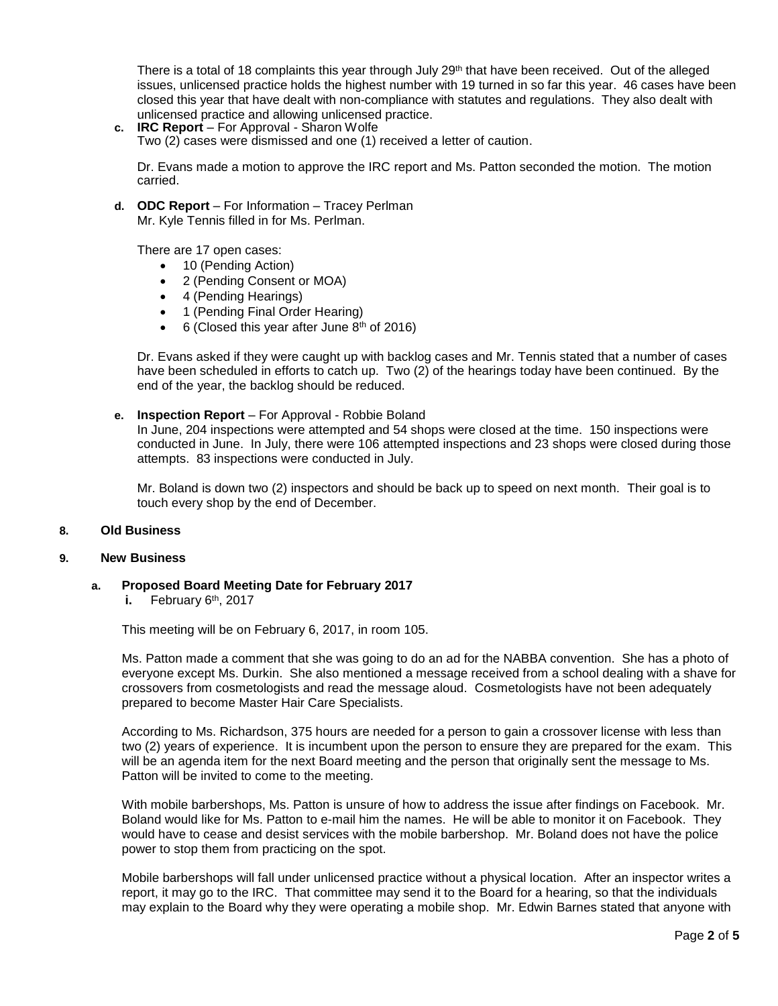There is a total of 18 complaints this year through July  $29<sup>th</sup>$  that have been received. Out of the alleged issues, unlicensed practice holds the highest number with 19 turned in so far this year. 46 cases have been closed this year that have dealt with non-compliance with statutes and regulations. They also dealt with unlicensed practice and allowing unlicensed practice.

**c. IRC Report** – For Approval - Sharon Wolfe Two (2) cases were dismissed and one (1) received a letter of caution.

Dr. Evans made a motion to approve the IRC report and Ms. Patton seconded the motion. The motion carried.

**d. ODC Report** – For Information – Tracey Perlman Mr. Kyle Tennis filled in for Ms. Perlman.

There are 17 open cases:

- 10 (Pending Action)
- 2 (Pending Consent or MOA)
- 4 (Pending Hearings)
- 1 (Pending Final Order Hearing)
- $\bullet$  6 (Closed this year after June 8<sup>th</sup> of 2016)

Dr. Evans asked if they were caught up with backlog cases and Mr. Tennis stated that a number of cases have been scheduled in efforts to catch up. Two (2) of the hearings today have been continued. By the end of the year, the backlog should be reduced.

**e. Inspection Report** – For Approval - Robbie Boland

In June, 204 inspections were attempted and 54 shops were closed at the time. 150 inspections were conducted in June. In July, there were 106 attempted inspections and 23 shops were closed during those attempts. 83 inspections were conducted in July.

Mr. Boland is down two (2) inspectors and should be back up to speed on next month. Their goal is to touch every shop by the end of December.

#### **8. Old Business**

#### **9. New Business**

**a. Proposed Board Meeting Date for February 2017**

**i.** February 6th, 2017

This meeting will be on February 6, 2017, in room 105.

Ms. Patton made a comment that she was going to do an ad for the NABBA convention. She has a photo of everyone except Ms. Durkin. She also mentioned a message received from a school dealing with a shave for crossovers from cosmetologists and read the message aloud. Cosmetologists have not been adequately prepared to become Master Hair Care Specialists.

According to Ms. Richardson, 375 hours are needed for a person to gain a crossover license with less than two (2) years of experience. It is incumbent upon the person to ensure they are prepared for the exam. This will be an agenda item for the next Board meeting and the person that originally sent the message to Ms. Patton will be invited to come to the meeting.

With mobile barbershops, Ms. Patton is unsure of how to address the issue after findings on Facebook. Mr. Boland would like for Ms. Patton to e-mail him the names. He will be able to monitor it on Facebook. They would have to cease and desist services with the mobile barbershop. Mr. Boland does not have the police power to stop them from practicing on the spot.

Mobile barbershops will fall under unlicensed practice without a physical location. After an inspector writes a report, it may go to the IRC. That committee may send it to the Board for a hearing, so that the individuals may explain to the Board why they were operating a mobile shop. Mr. Edwin Barnes stated that anyone with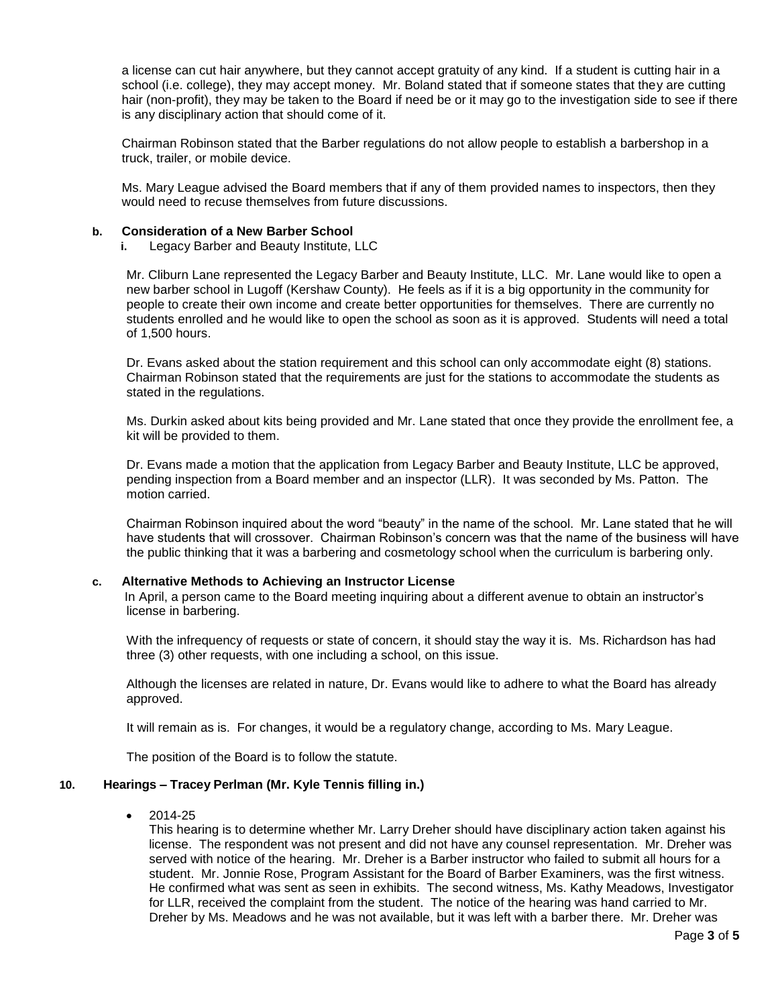a license can cut hair anywhere, but they cannot accept gratuity of any kind. If a student is cutting hair in a school (i.e. college), they may accept money. Mr. Boland stated that if someone states that they are cutting hair (non-profit), they may be taken to the Board if need be or it may go to the investigation side to see if there is any disciplinary action that should come of it.

Chairman Robinson stated that the Barber regulations do not allow people to establish a barbershop in a truck, trailer, or mobile device.

Ms. Mary League advised the Board members that if any of them provided names to inspectors, then they would need to recuse themselves from future discussions.

#### **b. Consideration of a New Barber School**

**i.** Legacy Barber and Beauty Institute, LLC

Mr. Cliburn Lane represented the Legacy Barber and Beauty Institute, LLC. Mr. Lane would like to open a new barber school in Lugoff (Kershaw County). He feels as if it is a big opportunity in the community for people to create their own income and create better opportunities for themselves. There are currently no students enrolled and he would like to open the school as soon as it is approved. Students will need a total of 1,500 hours.

Dr. Evans asked about the station requirement and this school can only accommodate eight (8) stations. Chairman Robinson stated that the requirements are just for the stations to accommodate the students as stated in the regulations.

Ms. Durkin asked about kits being provided and Mr. Lane stated that once they provide the enrollment fee, a kit will be provided to them.

Dr. Evans made a motion that the application from Legacy Barber and Beauty Institute, LLC be approved, pending inspection from a Board member and an inspector (LLR). It was seconded by Ms. Patton. The motion carried.

Chairman Robinson inquired about the word "beauty" in the name of the school. Mr. Lane stated that he will have students that will crossover. Chairman Robinson's concern was that the name of the business will have the public thinking that it was a barbering and cosmetology school when the curriculum is barbering only.

## **c. Alternative Methods to Achieving an Instructor License**

 In April, a person came to the Board meeting inquiring about a different avenue to obtain an instructor's license in barbering.

 With the infrequency of requests or state of concern, it should stay the way it is. Ms. Richardson has had three (3) other requests, with one including a school, on this issue.

Although the licenses are related in nature, Dr. Evans would like to adhere to what the Board has already approved.

It will remain as is. For changes, it would be a regulatory change, according to Ms. Mary League.

The position of the Board is to follow the statute.

## **10. Hearings – Tracey Perlman (Mr. Kyle Tennis filling in.)**

2014-25

This hearing is to determine whether Mr. Larry Dreher should have disciplinary action taken against his license. The respondent was not present and did not have any counsel representation. Mr. Dreher was served with notice of the hearing. Mr. Dreher is a Barber instructor who failed to submit all hours for a student. Mr. Jonnie Rose, Program Assistant for the Board of Barber Examiners, was the first witness. He confirmed what was sent as seen in exhibits. The second witness, Ms. Kathy Meadows, Investigator for LLR, received the complaint from the student. The notice of the hearing was hand carried to Mr. Dreher by Ms. Meadows and he was not available, but it was left with a barber there. Mr. Dreher was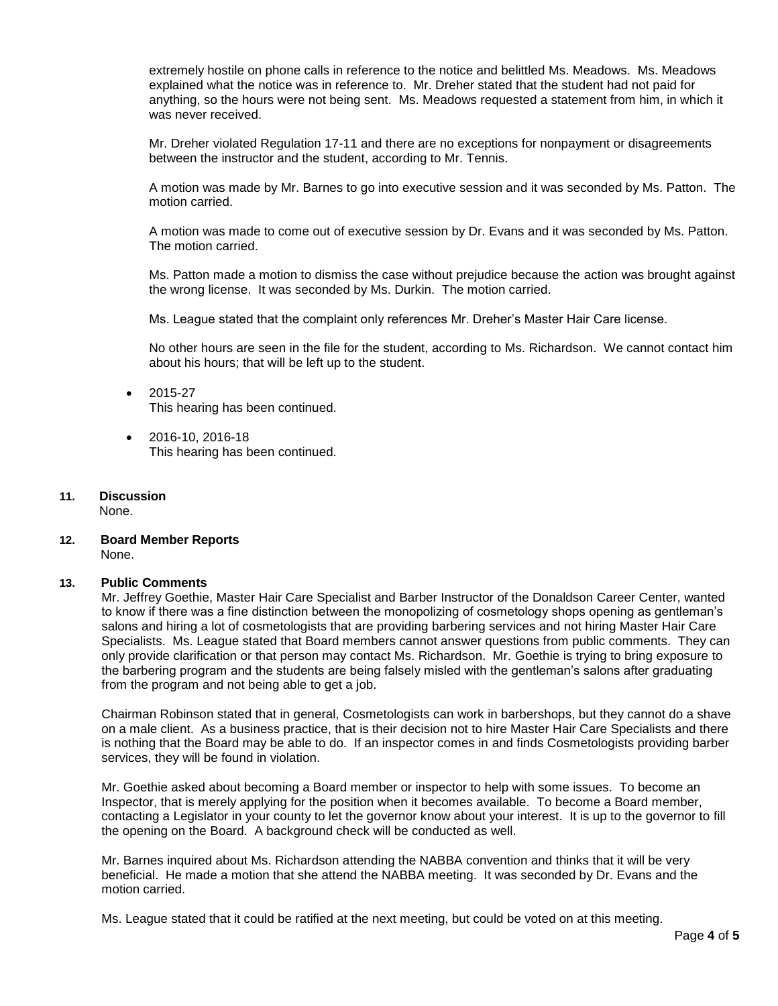extremely hostile on phone calls in reference to the notice and belittled Ms. Meadows. Ms. Meadows explained what the notice was in reference to. Mr. Dreher stated that the student had not paid for anything, so the hours were not being sent. Ms. Meadows requested a statement from him, in which it was never received.

Mr. Dreher violated Regulation 17-11 and there are no exceptions for nonpayment or disagreements between the instructor and the student, according to Mr. Tennis.

A motion was made by Mr. Barnes to go into executive session and it was seconded by Ms. Patton. The motion carried.

A motion was made to come out of executive session by Dr. Evans and it was seconded by Ms. Patton. The motion carried.

Ms. Patton made a motion to dismiss the case without prejudice because the action was brought against the wrong license. It was seconded by Ms. Durkin. The motion carried.

Ms. League stated that the complaint only references Mr. Dreher's Master Hair Care license.

No other hours are seen in the file for the student, according to Ms. Richardson. We cannot contact him about his hours; that will be left up to the student.

- 2015-27 This hearing has been continued.
- 2016-10, 2016-18 This hearing has been continued.

# **11. Discussion**

None.

**12. Board Member Reports** None.

## **13. Public Comments**

Mr. Jeffrey Goethie, Master Hair Care Specialist and Barber Instructor of the Donaldson Career Center, wanted to know if there was a fine distinction between the monopolizing of cosmetology shops opening as gentleman's salons and hiring a lot of cosmetologists that are providing barbering services and not hiring Master Hair Care Specialists. Ms. League stated that Board members cannot answer questions from public comments. They can only provide clarification or that person may contact Ms. Richardson. Mr. Goethie is trying to bring exposure to the barbering program and the students are being falsely misled with the gentleman's salons after graduating from the program and not being able to get a job.

Chairman Robinson stated that in general, Cosmetologists can work in barbershops, but they cannot do a shave on a male client. As a business practice, that is their decision not to hire Master Hair Care Specialists and there is nothing that the Board may be able to do. If an inspector comes in and finds Cosmetologists providing barber services, they will be found in violation.

Mr. Goethie asked about becoming a Board member or inspector to help with some issues. To become an Inspector, that is merely applying for the position when it becomes available. To become a Board member, contacting a Legislator in your county to let the governor know about your interest. It is up to the governor to fill the opening on the Board. A background check will be conducted as well.

Mr. Barnes inquired about Ms. Richardson attending the NABBA convention and thinks that it will be very beneficial. He made a motion that she attend the NABBA meeting. It was seconded by Dr. Evans and the motion carried.

Ms. League stated that it could be ratified at the next meeting, but could be voted on at this meeting.